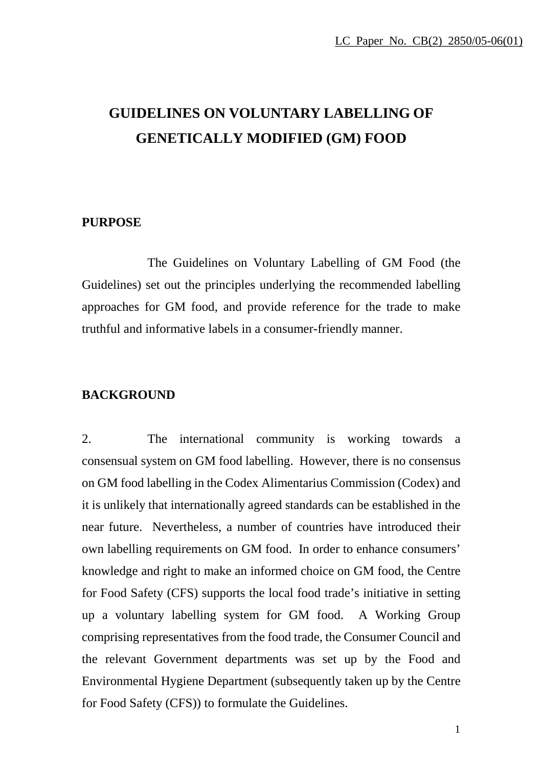# **GUIDELINES ON VOLUNTARY LABELLING OF GENETICALLY MODIFIED (GM) FOOD**

#### **PURPOSE**

 The Guidelines on Voluntary Labelling of GM Food (the Guidelines) set out the principles underlying the recommended labelling approaches for GM food, and provide reference for the trade to make truthful and informative labels in a consumer-friendly manner.

#### **BACKGROUND**

2. The international community is working towards a consensual system on GM food labelling. However, there is no consensus on GM food labelling in the Codex Alimentarius Commission (Codex) and it is unlikely that internationally agreed standards can be established in the near future. Nevertheless, a number of countries have introduced their own labelling requirements on GM food. In order to enhance consumers' knowledge and right to make an informed choice on GM food, the Centre for Food Safety (CFS) supports the local food trade's initiative in setting up a voluntary labelling system for GM food. A Working Group comprising representatives from the food trade, the Consumer Council and the relevant Government departments was set up by the Food and Environmental Hygiene Department (subsequently taken up by the Centre for Food Safety (CFS)) to formulate the Guidelines.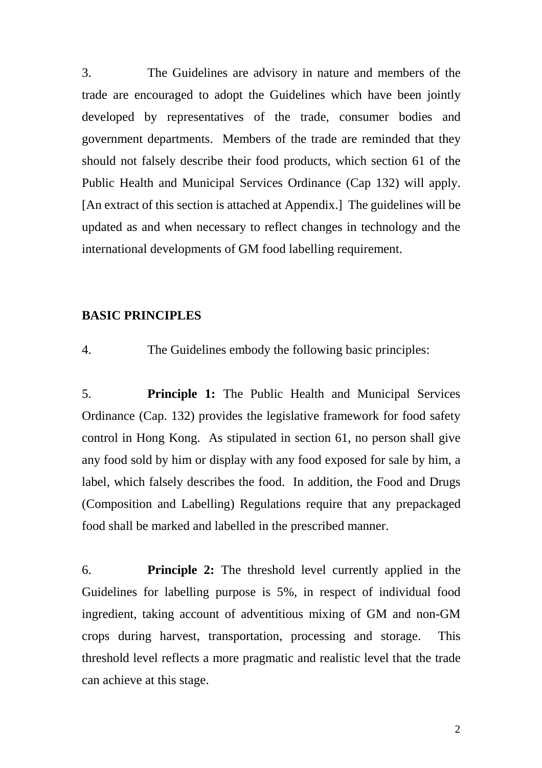3. The Guidelines are advisory in nature and members of the trade are encouraged to adopt the Guidelines which have been jointly developed by representatives of the trade, consumer bodies and government departments. Members of the trade are reminded that they should not falsely describe their food products, which section 61 of the Public Health and Municipal Services Ordinance (Cap 132) will apply. [An extract of this section is attached at Appendix.] The guidelines will be updated as and when necessary to reflect changes in technology and the international developments of GM food labelling requirement.

#### **BASIC PRINCIPLES**

4. The Guidelines embody the following basic principles:

5. **Principle 1:** The Public Health and Municipal Services Ordinance (Cap. 132) provides the legislative framework for food safety control in Hong Kong. As stipulated in section 61, no person shall give any food sold by him or display with any food exposed for sale by him, a label, which falsely describes the food. In addition, the Food and Drugs (Composition and Labelling) Regulations require that any prepackaged food shall be marked and labelled in the prescribed manner.

6. **Principle 2:** The threshold level currently applied in the Guidelines for labelling purpose is 5%, in respect of individual food ingredient, taking account of adventitious mixing of GM and non-GM crops during harvest, transportation, processing and storage. This threshold level reflects a more pragmatic and realistic level that the trade can achieve at this stage.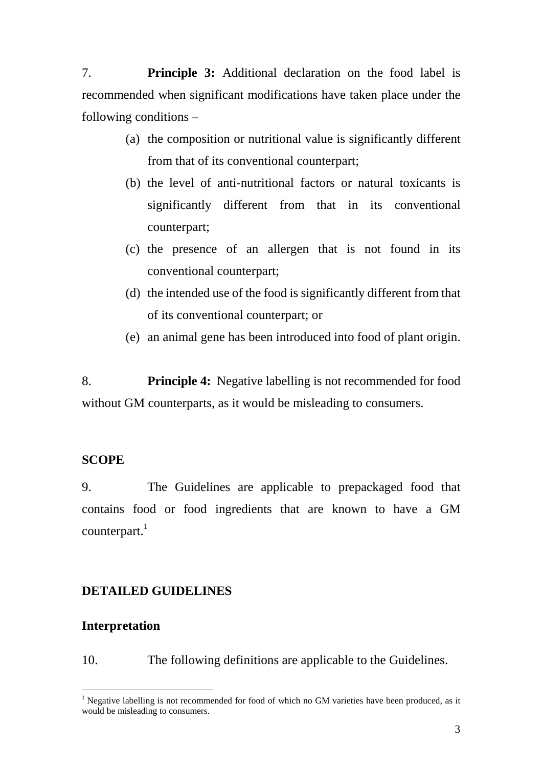7. **Principle 3:** Additional declaration on the food label is recommended when significant modifications have taken place under the following conditions –

- (a) the composition or nutritional value is significantly different from that of its conventional counterpart;
- (b) the level of anti-nutritional factors or natural toxicants is significantly different from that in its conventional counterpart;
- (c) the presence of an allergen that is not found in its conventional counterpart;
- (d) the intended use of the food is significantly different from that of its conventional counterpart; or
- (e) an animal gene has been introduced into food of plant origin.

8. **Principle 4:** Negative labelling is not recommended for food without GM counterparts, as it would be misleading to consumers.

# **SCOPE**

9. The Guidelines are applicable to prepackaged food that contains food or food ingredients that are known to have a GM  $counterpart.<sup>1</sup>$  $counterpart.<sup>1</sup>$  $counterpart.<sup>1</sup>$ 

# **DETAILED GUIDELINES**

### **Interpretation**

 $\overline{a}$ 

10. The following definitions are applicable to the Guidelines.

<span id="page-2-0"></span> $1$  Negative labelling is not recommended for food of which no GM varieties have been produced, as it would be misleading to consumers.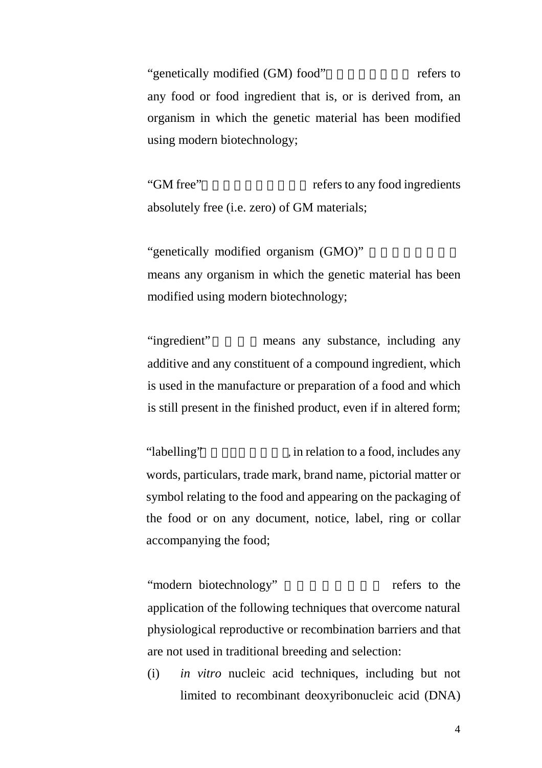"genetically modified (GM) food" refers to any food or food ingredient that is, or is derived from, an organism in which the genetic material has been modified using modern biotechnology;

"GM free" refers to any food ingredients absolutely free (i.e. zero) of GM materials;

"genetically modified organism (GMO)" means any organism in which the genetic material has been modified using modern biotechnology;

"ingredient" means any substance, including any additive and any constituent of a compound ingredient, which is used in the manufacture or preparation of a food and which is still present in the finished product, even if in altered form;

"labelling" (i.e., in relation to a food, includes any words, particulars, trade mark, brand name, pictorial matter or symbol relating to the food and appearing on the packaging of the food or on any document, notice, label, ring or collar accompanying the food;

"modern biotechnology" refers to the application of the following techniques that overcome natural physiological reproductive or recombination barriers and that are not used in traditional breeding and selection:

(i) *in vitro* nucleic acid techniques, including but not limited to recombinant deoxyribonucleic acid (DNA)

4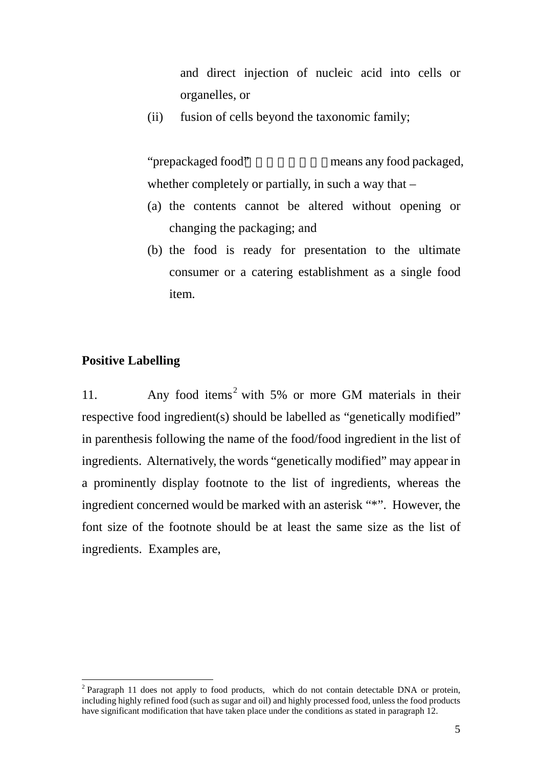and direct injection of nucleic acid into cells or organelles, or

(ii) fusion of cells beyond the taxonomic family;

"prepackaged food" means any food packaged, whether completely or partially, in such a way that  $-$ 

- (a) the contents cannot be altered without opening or changing the packaging; and
- (b) the food is ready for presentation to the ultimate consumer or a catering establishment as a single food item.

### **Positive Labelling**

 $\overline{a}$ 

11. Any food items [2](#page-4-0) with 5% or more GM materials in their respective food ingredient(s) should be labelled as "genetically modified" in parenthesis following the name of the food/food ingredient in the list of ingredients. Alternatively, the words "genetically modified" may appear in a prominently display footnote to the list of ingredients, whereas the ingredient concerned would be marked with an asterisk "\*". However, the font size of the footnote should be at least the same size as the list of ingredients. Examples are,

<span id="page-4-0"></span> $2$  Paragraph 11 does not apply to food products, which do not contain detectable DNA or protein, including highly refined food (such as sugar and oil) and highly processed food, unless the food products have significant modification that have taken place under the conditions as stated in paragraph 12.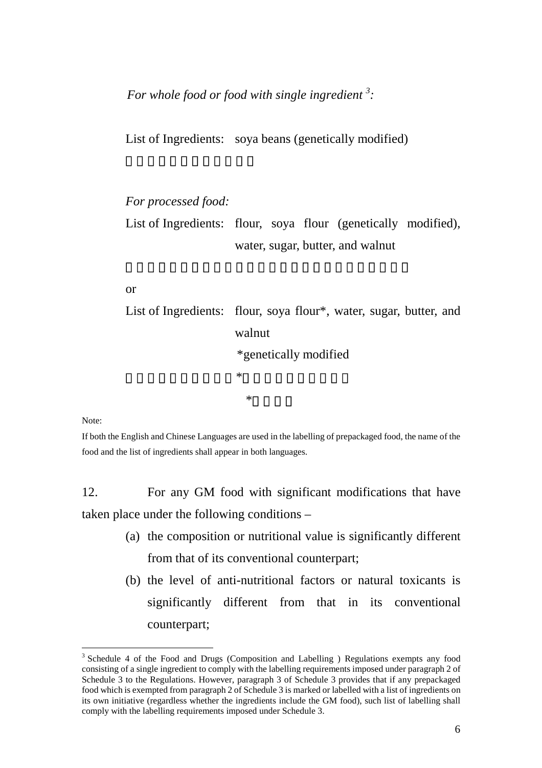*For whole food or food with single ingredient [3](#page-5-0) :* 

List of Ingredients: soya beans (genetically modified)

*For processed food:*  List of Ingredients: flour, soya flour (genetically modified), water, sugar, butter, and walnut

#### or

List of Ingredients: flour, soya flour\*, water, sugar, butter, and walnut \*genetically modified 配料表:麵粉,大豆粉\*,水,糖,牛油,合桃 \*基因改造

Note:

 $\overline{a}$ 

If both the English and Chinese Languages are used in the labelling of prepackaged food, the name of the food and the list of ingredients shall appear in both languages.

12. For any GM food with significant modifications that have taken place under the following conditions –

- (a) the composition or nutritional value is significantly different from that of its conventional counterpart;
- (b) the level of anti-nutritional factors or natural toxicants is significantly different from that in its conventional counterpart;

<span id="page-5-0"></span><sup>&</sup>lt;sup>3</sup> Schedule 4 of the Food and Drugs (Composition and Labelling ) Regulations exempts any food consisting of a single ingredient to comply with the labelling requirements imposed under paragraph 2 of Schedule 3 to the Regulations. However, paragraph 3 of Schedule 3 provides that if any prepackaged food which is exempted from paragraph 2 of Schedule 3 is marked or labelled with a list of ingredients on its own initiative (regardless whether the ingredients include the GM food), such list of labelling shall comply with the labelling requirements imposed under Schedule 3.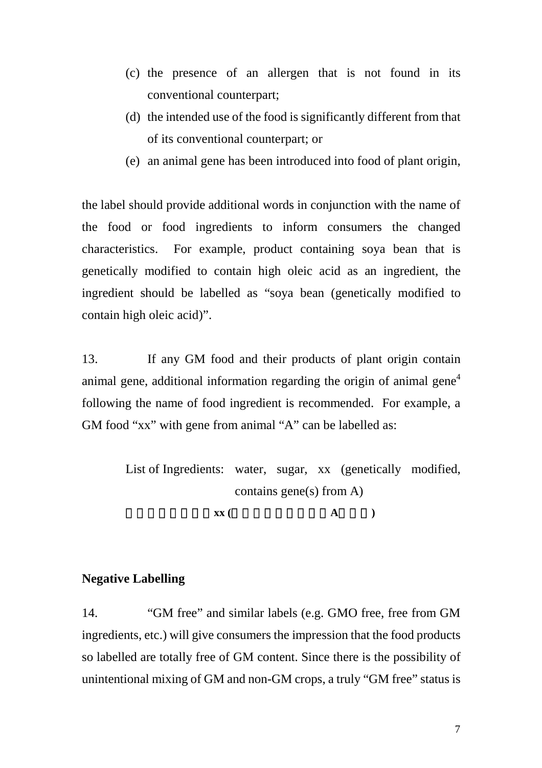- (c) the presence of an allergen that is not found in its conventional counterpart;
- (d) the intended use of the food is significantly different from that of its conventional counterpart; or
- (e) an animal gene has been introduced into food of plant origin,

the label should provide additional words in conjunction with the name of the food or food ingredients to inform consumers the changed characteristics. For example, product containing soya bean that is genetically modified to contain high oleic acid as an ingredient, the ingredient should be labelled as "soya bean (genetically modified to contain high oleic acid)".

13. If any GM food and their products of plant origin contain animal gene, additional information regarding the origin of animal gene<sup>[4](#page-6-0)</sup> following the name of food ingredient is recommended. For example, a GM food "xx" with gene from animal "A" can be labelled as:

> List of Ingredients: water, sugar, xx (genetically modified, contains gene(s) from A) 配料表:水,糖,**xx (**基因改造,含有來自**A**的基因**)**

#### **Negative Labelling**

<span id="page-6-0"></span>14. "GM free" and similar labels (e.g. GMO free, free from GM ingredients, etc.) will give consumers the impression that the food products so labelled are totally free of GM content. Since there is the possibility of unintentional mixing of GM and non-GM crops, a truly "GM free" status is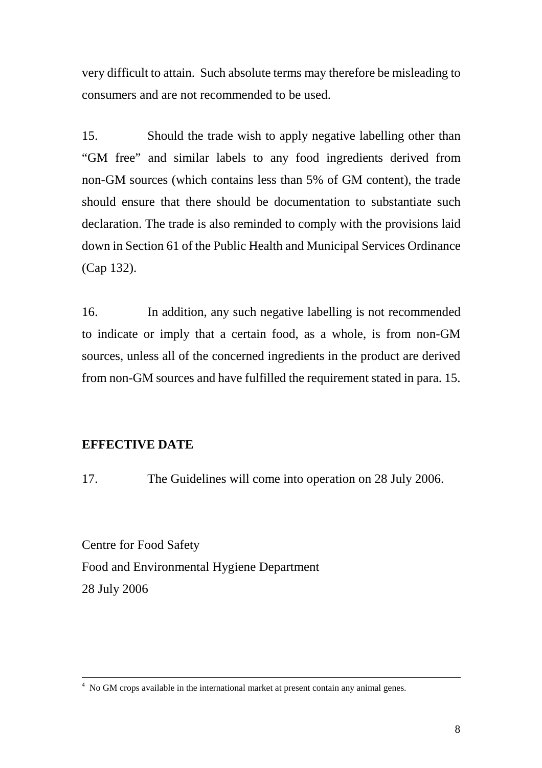very difficult to attain. Such absolute terms may therefore be misleading to consumers and are not recommended to be used.

15. Should the trade wish to apply negative labelling other than "GM free" and similar labels to any food ingredients derived from non-GM sources (which contains less than 5% of GM content), the trade should ensure that there should be documentation to substantiate such declaration. The trade is also reminded to comply with the provisions laid down in Section 61 of the Public Health and Municipal Services Ordinance (Cap 132).

16. In addition, any such negative labelling is not recommended to indicate or imply that a certain food, as a whole, is from non-GM sources, unless all of the concerned ingredients in the product are derived from non-GM sources and have fulfilled the requirement stated in para. 15.

### **EFFECTIVE DATE**

17. The Guidelines will come into operation on 28 July 2006.

Centre for Food Safety Food and Environmental Hygiene Department 28 July 2006

 $\frac{1}{4}$ <sup>4</sup> No GM crops available in the international market at present contain any animal genes.